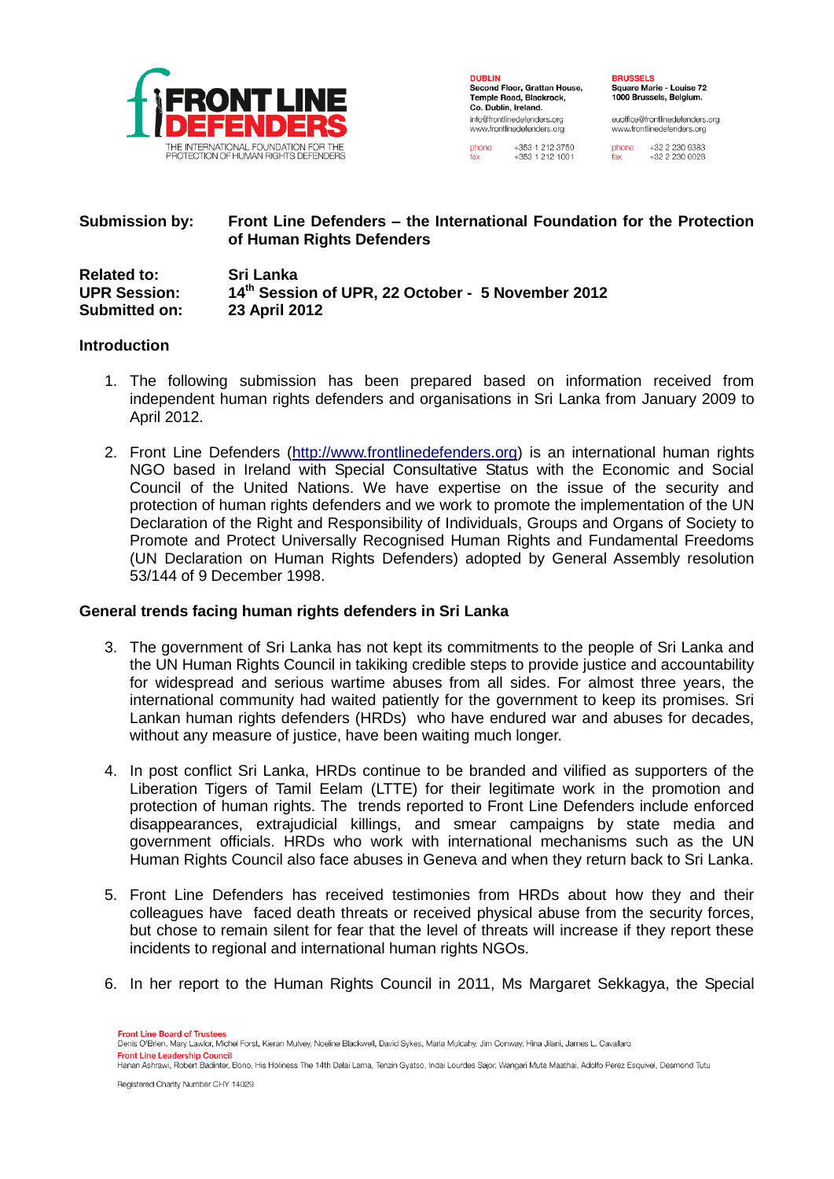

**DUDLIN BUBLIN**<br>Second Floor, Grattan House, Temple Road, Blackrock, Co. Dublin, Ireland. info@frontlinedefenders.org www.frontlinedefenders.org phone +353 1 212 3750

+353 1 212 1001

**DDUCCELC** Square Marie - Louise 72 1000 Brussels Belgium

euoffice@frontlinedefenders.org www.frontlinedefenders.org

phone +32 2 230 9383  $+32222300028$ 

# **Submission by: Front Line Defenders – the International Foundation for the Protection of Human Rights Defenders**

| <b>Related to:</b>  | Sri Lanka                                         |
|---------------------|---------------------------------------------------|
| <b>UPR Session:</b> | 14th Session of UPR, 22 October - 5 November 2012 |
| Submitted on:       | 23 April 2012                                     |

#### **Introduction**

- 1. The following submission has been prepared based on information received from independent human rights defenders and organisations in Sri Lanka from January 2009 to April 2012.
- 2. Front Line Defenders [\(http://www.frontlinedefenders.org\)](http://www.frontlinedefenders.org/) is an international human rights NGO based in Ireland with Special Consultative Status with the Economic and Social Council of the United Nations. We have expertise on the issue of the security and protection of human rights defenders and we work to promote the implementation of the UN Declaration of the Right and Responsibility of Individuals, Groups and Organs of Society to Promote and Protect Universally Recognised Human Rights and Fundamental Freedoms (UN Declaration on Human Rights Defenders) adopted by General Assembly resolution 53/144 of 9 December 1998.

# **General trends facing human rights defenders in Sri Lanka**

- 3. The government of Sri Lanka has not kept its commitments to the people of Sri Lanka and the UN Human Rights Council in takiking credible steps to provide justice and accountability for widespread and serious wartime abuses from all sides. For almost three years, the international community had waited patiently for the government to keep its promises. Sri Lankan human rights defenders (HRDs) who have endured war and abuses for decades, without any measure of justice, have been waiting much longer.
- 4. In post conflict Sri Lanka, HRDs continue to be branded and vilified as supporters of the Liberation Tigers of Tamil Eelam (LTTE) for their legitimate work in the promotion and protection of human rights. The trends reported to Front Line Defenders include enforced disappearances, extrajudicial killings, and smear campaigns by state media and government officials. HRDs who work with international mechanisms such as the UN Human Rights Council also face abuses in Geneva and when they return back to Sri Lanka.
- 5. Front Line Defenders has received testimonies from HRDs about how they and their colleagues have faced death threats or received physical abuse from the security forces, but chose to remain silent for fear that the level of threats will increase if they report these incidents to regional and international human rights NGOs.
- 6. In her report to the Human Rights Council in 2011, Ms Margaret Sekkagya, the Special

Front Line Board of Truste Denis O'Brien, Mary Lawlor, Michel Forst, Kieran Mulvey, Noeline Blackwell, David Sykes, Maria Mulcahy, Jim Conway, Hina Jilani, James L. Cavallaro **Front Line Leadership Council** rrom and Ducustom Pount.<br>Hanan Ashrawi, Robert Badinter, Bono, His Holiness The 14th Dalai Lama, Tenzin Gyatso, Indai Lourdes Sajor, Wangari Muta Maathai, Adolfo Perez Esquivel, Desmond Tutu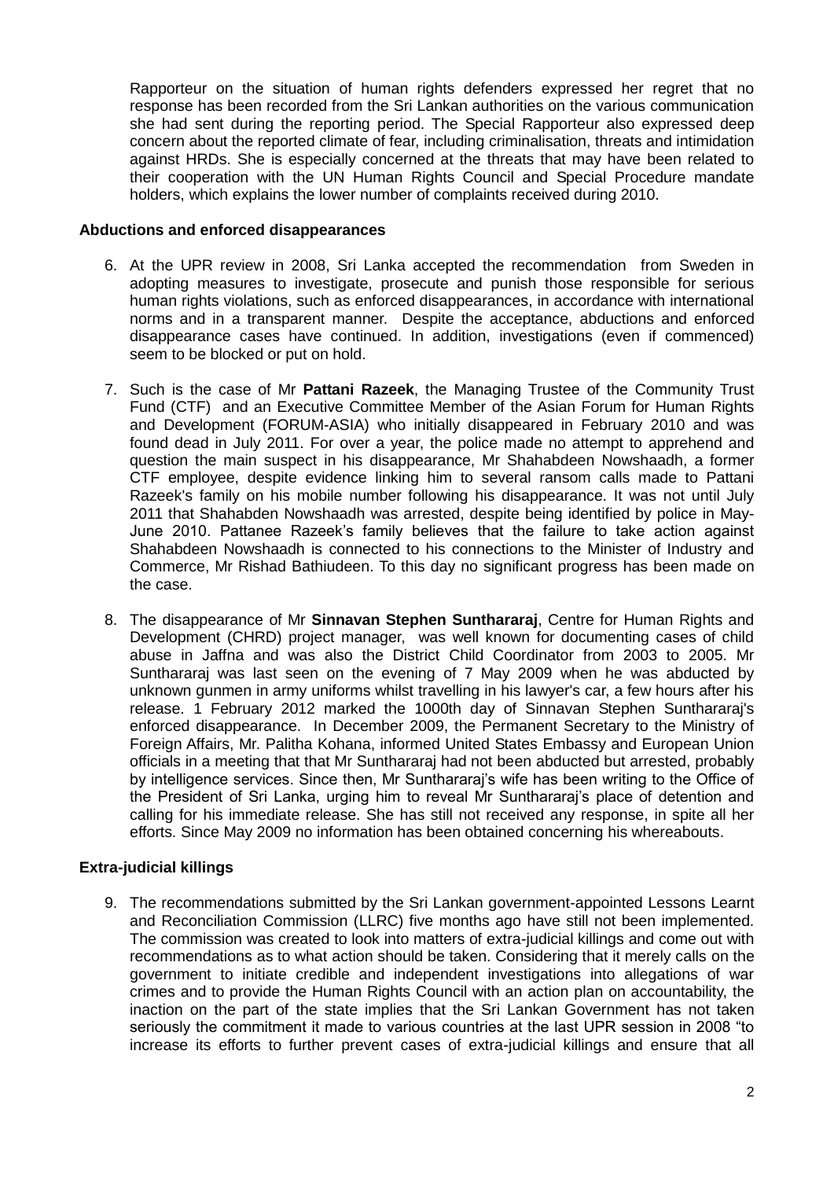Rapporteur on the situation of human rights defenders expressed her regret that no response has been recorded from the Sri Lankan authorities on the various communication she had sent during the reporting period. The Special Rapporteur also expressed deep concern about the reported climate of fear, including criminalisation, threats and intimidation against HRDs. She is especially concerned at the threats that may have been related to their cooperation with the UN Human Rights Council and Special Procedure mandate holders, which explains the lower number of complaints received during 2010.

### **Abductions and enforced disappearances**

- 6. At the UPR review in 2008, Sri Lanka accepted the recommendation from Sweden in adopting measures to investigate, prosecute and punish those responsible for serious human rights violations, such as enforced disappearances, in accordance with international norms and in a transparent manner. Despite the acceptance, abductions and enforced disappearance cases have continued. In addition, investigations (even if commenced) seem to be blocked or put on hold.
- 7. Such is the case of Mr **Pattani Razeek**, the Managing Trustee of the Community Trust Fund (CTF) and an Executive Committee Member of the Asian Forum for Human Rights and Development (FORUM-ASIA) who initially disappeared in February 2010 and was found dead in July 2011. For over a year, the police made no attempt to apprehend and question the main suspect in his disappearance, Mr Shahabdeen Nowshaadh, a former CTF employee, despite evidence linking him to several ransom calls made to Pattani Razeek's family on his mobile number following his disappearance. It was not until July 2011 that Shahabden Nowshaadh was arrested, despite being identified by police in May-June 2010. Pattanee Razeek's family believes that the failure to take action against Shahabdeen Nowshaadh is connected to his connections to the Minister of Industry and Commerce, Mr Rishad Bathiudeen. To this day no significant progress has been made on the case.
- 8. The disappearance of Mr **Sinnavan Stephen Sunthararaj**, Centre for Human Rights and Development (CHRD) project manager, was well known for documenting cases of child abuse in Jaffna and was also the District Child Coordinator from 2003 to 2005. Mr Sunthararaj was last seen on the evening of 7 May 2009 when he was abducted by unknown gunmen in army uniforms whilst travelling in his lawyer's car, a few hours after his release. 1 February 2012 marked the 1000th day of Sinnavan Stephen Sunthararaj's enforced disappearance. In December 2009, the Permanent Secretary to the Ministry of Foreign Affairs, Mr. Palitha Kohana, informed United States Embassy and European Union officials in a meeting that that Mr Sunthararaj had not been abducted but arrested, probably by intelligence services. Since then, Mr Sunthararaj's wife has been writing to the Office of the President of Sri Lanka, urging him to reveal Mr Sunthararaj's place of detention and calling for his immediate release. She has still not received any response, in spite all her efforts. Since May 2009 no information has been obtained concerning his whereabouts.

# **Extra-judicial killings**

9. The recommendations submitted by the Sri Lankan government-appointed Lessons Learnt and Reconciliation Commission (LLRC) five months ago have still not been implemented. The commission was created to look into matters of extra-judicial killings and come out with recommendations as to what action should be taken. Considering that it merely calls on the government to initiate credible and independent investigations into allegations of war crimes and to provide the Human Rights Council with an action plan on accountability, the inaction on the part of the state implies that the Sri Lankan Government has not taken seriously the commitment it made to various countries at the last UPR session in 2008 "to increase its efforts to further prevent cases of extra-judicial killings and ensure that all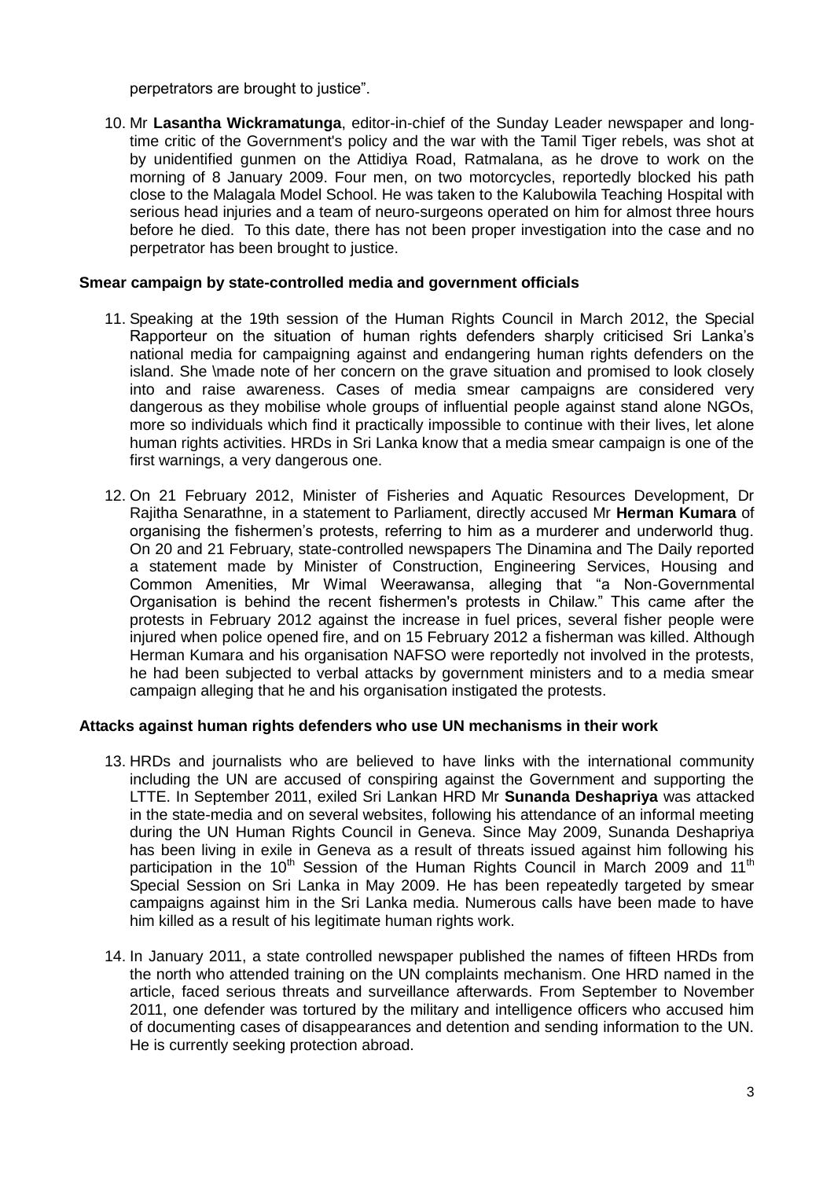perpetrators are brought to justice".

10. Mr **Lasantha Wickramatunga**, editor-in-chief of the Sunday Leader newspaper and longtime critic of the Government's policy and the war with the Tamil Tiger rebels, was shot at by unidentified gunmen on the Attidiya Road, Ratmalana, as he drove to work on the morning of 8 January 2009. Four men, on two motorcycles, reportedly blocked his path close to the Malagala Model School. He was taken to the Kalubowila Teaching Hospital with serious head injuries and a team of neuro-surgeons operated on him for almost three hours before he died. To this date, there has not been proper investigation into the case and no perpetrator has been brought to justice.

## **Smear campaign by state-controlled media and government officials**

- 11. Speaking at the 19th session of the Human Rights Council in March 2012, the Special Rapporteur on the situation of human rights defenders sharply criticised Sri Lanka's national media for campaigning against and endangering human rights defenders on the island. She \made note of her concern on the grave situation and promised to look closely into and raise awareness. Cases of media smear campaigns are considered very dangerous as they mobilise whole groups of influential people against stand alone NGOs, more so individuals which find it practically impossible to continue with their lives, let alone human rights activities. HRDs in Sri Lanka know that a media smear campaign is one of the first warnings, a very dangerous one.
- 12. On 21 February 2012, Minister of Fisheries and Aquatic Resources Development, Dr Rajitha Senarathne, in a statement to Parliament, directly accused Mr **Herman Kumara** of organising the fishermen's protests, referring to him as a murderer and underworld thug. On 20 and 21 February, state-controlled newspapers The Dinamina and The Daily reported a statement made by Minister of Construction, Engineering Services, Housing and Common Amenities, Mr Wimal Weerawansa, alleging that "a Non-Governmental Organisation is behind the recent fishermen's protests in Chilaw." This came after the protests in February 2012 against the increase in fuel prices, several fisher people were injured when police opened fire, and on 15 February 2012 a fisherman was killed. Although Herman Kumara and his organisation NAFSO were reportedly not involved in the protests, he had been subjected to verbal attacks by government ministers and to a media smear campaign alleging that he and his organisation instigated the protests.

#### **Attacks against human rights defenders who use UN mechanisms in their work**

- 13. HRDs and journalists who are believed to have links with the international community including the UN are accused of conspiring against the Government and supporting the LTTE. In September 2011, exiled Sri Lankan HRD Mr **Sunanda Deshapriya** was attacked in the state-media and on several websites, following his attendance of an informal meeting during the UN Human Rights Council in Geneva. Since May 2009, Sunanda Deshapriya has been living in exile in Geneva as a result of threats issued against him following his participation in the 10<sup>th</sup> Session of the Human Rights Council in March 2009 and 11<sup>th</sup> Special Session on Sri Lanka in May 2009. He has been repeatedly targeted by smear campaigns against him in the Sri Lanka media. Numerous calls have been made to have him killed as a result of his legitimate human rights work.
- 14. In January 2011, a state controlled newspaper published the names of fifteen HRDs from the north who attended training on the UN complaints mechanism. One HRD named in the article, faced serious threats and surveillance afterwards. From September to November 2011, one defender was tortured by the military and intelligence officers who accused him of documenting cases of disappearances and detention and sending information to the UN. He is currently seeking protection abroad.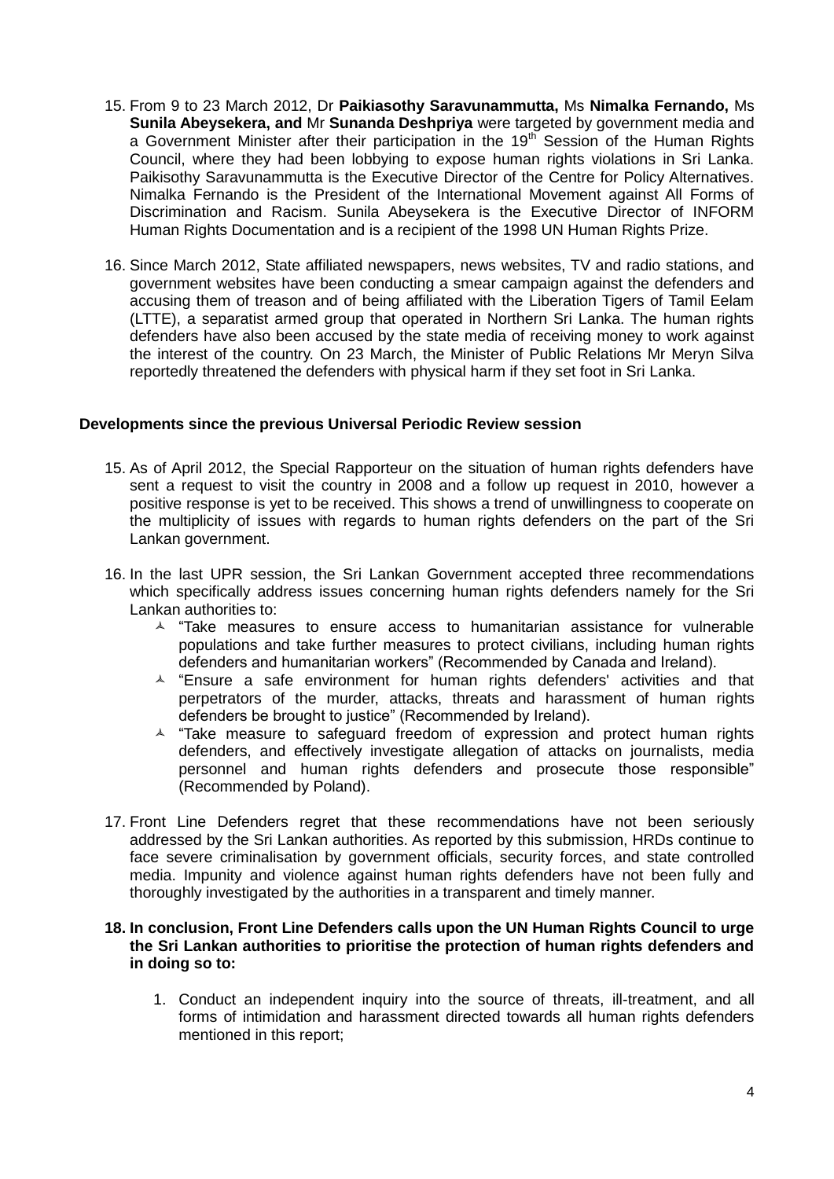- 15. From 9 to 23 March 2012, Dr **Paikiasothy Saravunammutta,** Ms **Nimalka Fernando,** Ms **Sunila Abeysekera, and** Mr **Sunanda Deshpriya** were targeted by government media and a Government Minister after their participation in the 19<sup>th</sup> Session of the Human Rights Council, where they had been lobbying to expose human rights violations in Sri Lanka. Paikisothy Saravunammutta is the Executive Director of the Centre for Policy Alternatives. Nimalka Fernando is the President of the International Movement against All Forms of Discrimination and Racism. Sunila Abeysekera is the Executive Director of INFORM Human Rights Documentation and is a recipient of the 1998 UN Human Rights Prize.
- 16. Since March 2012, State affiliated newspapers, news websites, TV and radio stations, and government websites have been conducting a smear campaign against the defenders and accusing them of treason and of being affiliated with the Liberation Tigers of Tamil Eelam (LTTE), a separatist armed group that operated in Northern Sri Lanka. The human rights defenders have also been accused by the state media of receiving money to work against the interest of the country. On 23 March, the Minister of Public Relations Mr Meryn Silva reportedly threatened the defenders with physical harm if they set foot in Sri Lanka.

### **Developments since the previous Universal Periodic Review session**

- 15. As of April 2012, the Special Rapporteur on the situation of human rights defenders have sent a request to visit the country in 2008 and a follow up request in 2010, however a positive response is yet to be received. This shows a trend of unwillingness to cooperate on the multiplicity of issues with regards to human rights defenders on the part of the Sri Lankan government.
- 16. In the last UPR session, the Sri Lankan Government accepted three recommendations which specifically address issues concerning human rights defenders namely for the Sri Lankan authorities to:
	- $\textstyle\blacktriangle$  "Take measures to ensure access to humanitarian assistance for vulnerable populations and take further measures to protect civilians, including human rights defenders and humanitarian workers" (Recommended by Canada and Ireland).
	- $\triangle$  "Ensure a safe environment for human rights defenders' activities and that perpetrators of the murder, attacks, threats and harassment of human rights defenders be brought to justice" (Recommended by Ireland).
	- $\triangle$  "Take measure to safeguard freedom of expression and protect human rights defenders, and effectively investigate allegation of attacks on journalists, media personnel and human rights defenders and prosecute those responsible" (Recommended by Poland).
- 17. Front Line Defenders regret that these recommendations have not been seriously addressed by the Sri Lankan authorities. As reported by this submission, HRDs continue to face severe criminalisation by government officials, security forces, and state controlled media. Impunity and violence against human rights defenders have not been fully and thoroughly investigated by the authorities in a transparent and timely manner.

#### **18. In conclusion, Front Line Defenders calls upon the UN Human Rights Council to urge the Sri Lankan authorities to prioritise the protection of human rights defenders and in doing so to:**

1. Conduct an independent inquiry into the source of threats, ill-treatment, and all forms of intimidation and harassment directed towards all human rights defenders mentioned in this report;